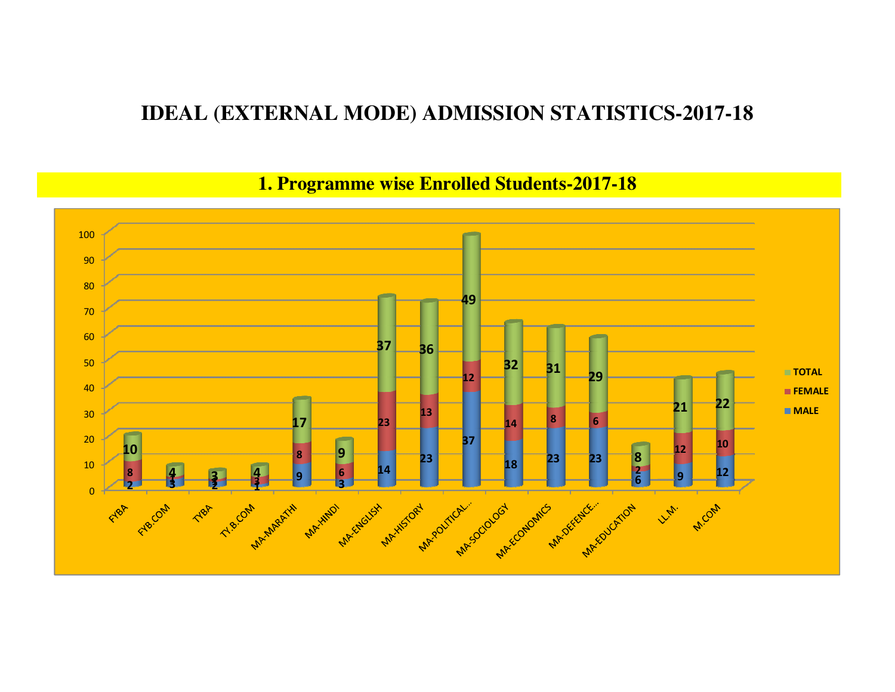## **IDEAL (EXTERNAL MODE) ADMISSION STATISTICS-2017-18**

### **1. Programme wise Enrolled Students-2017-18**

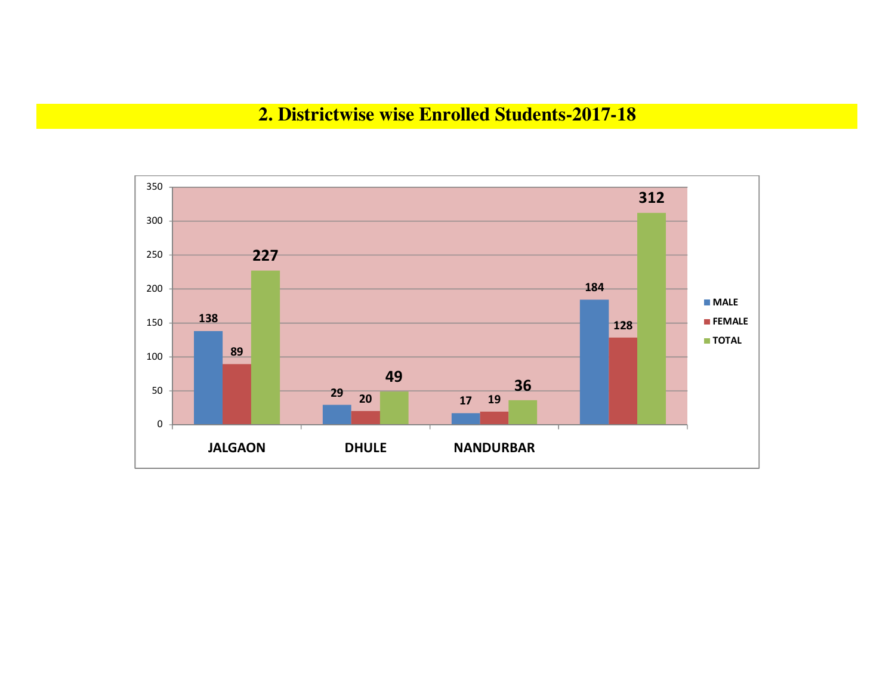#### **2. Districtwise wise Enrolled Students-2017-18**

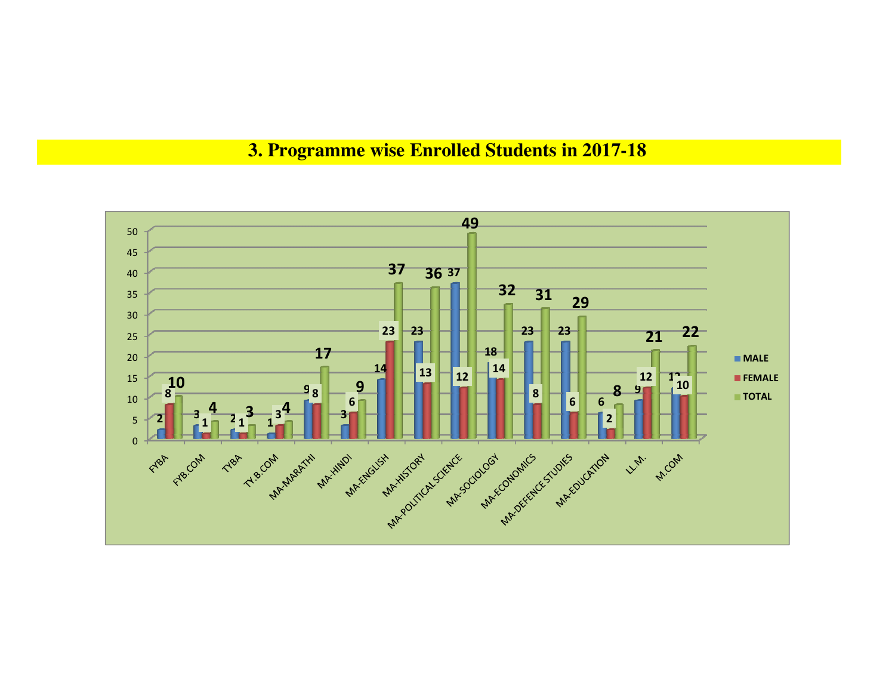# **3. Programme wise Enrolled Students in 2017-18**

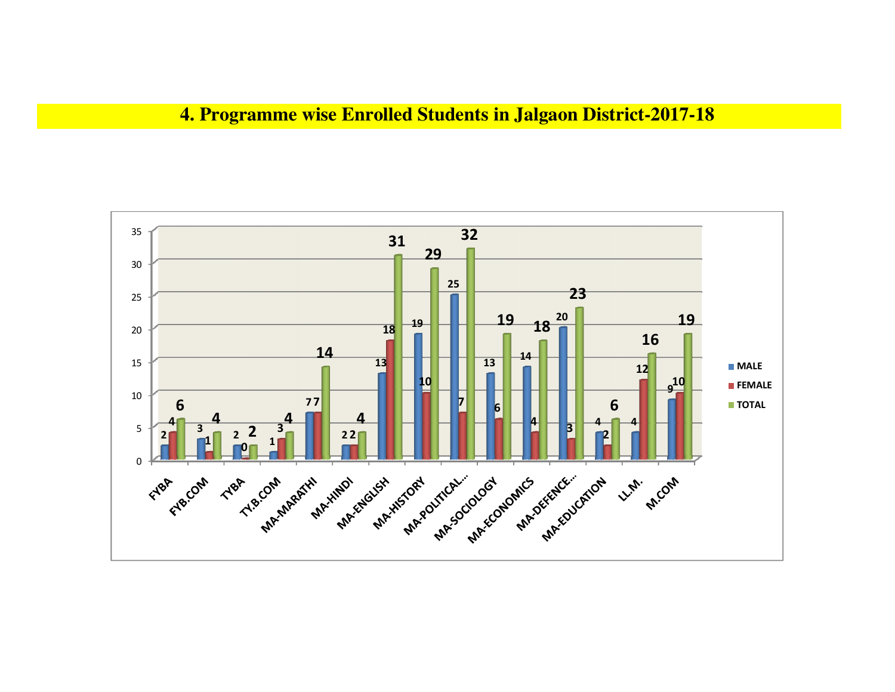### **4. Programme wise Enrolled Students in Jalgaon District-2017-18**

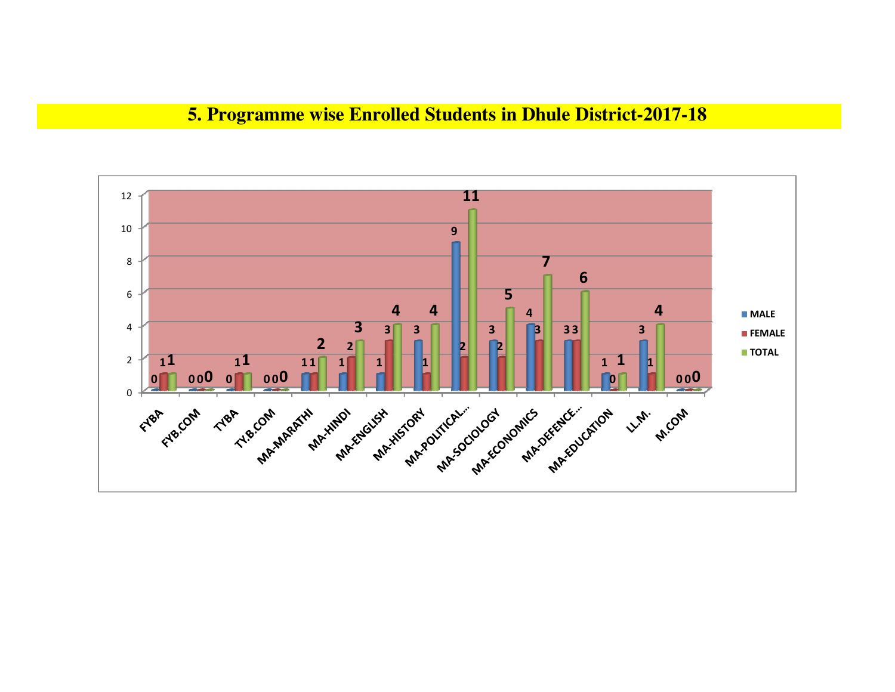## **5. Programme wise Enrolled Students in Dhule District-2017-18**

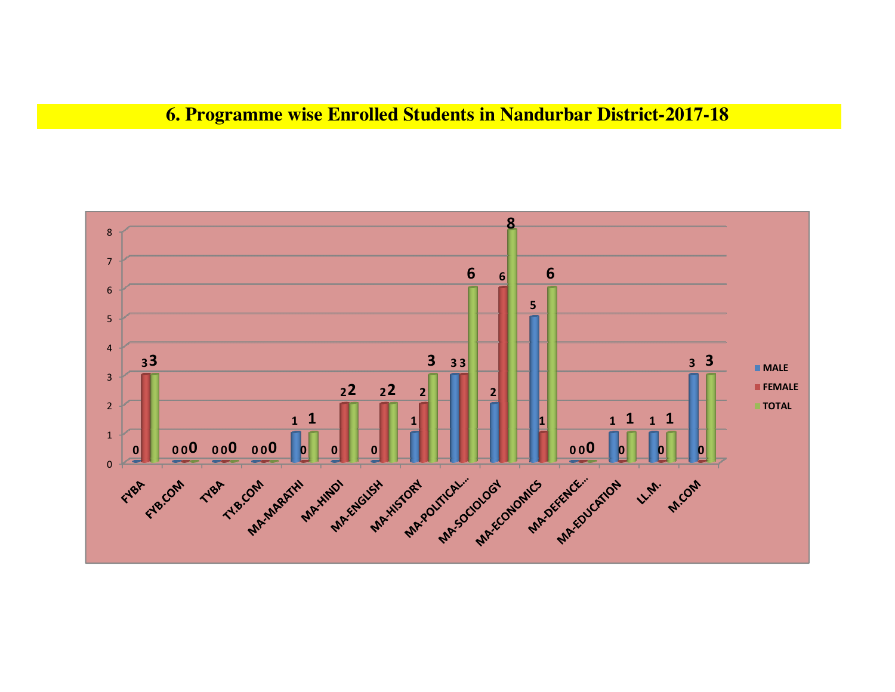## **6. Programme wise Enrolled Students in Nandurbar District-2017-18**